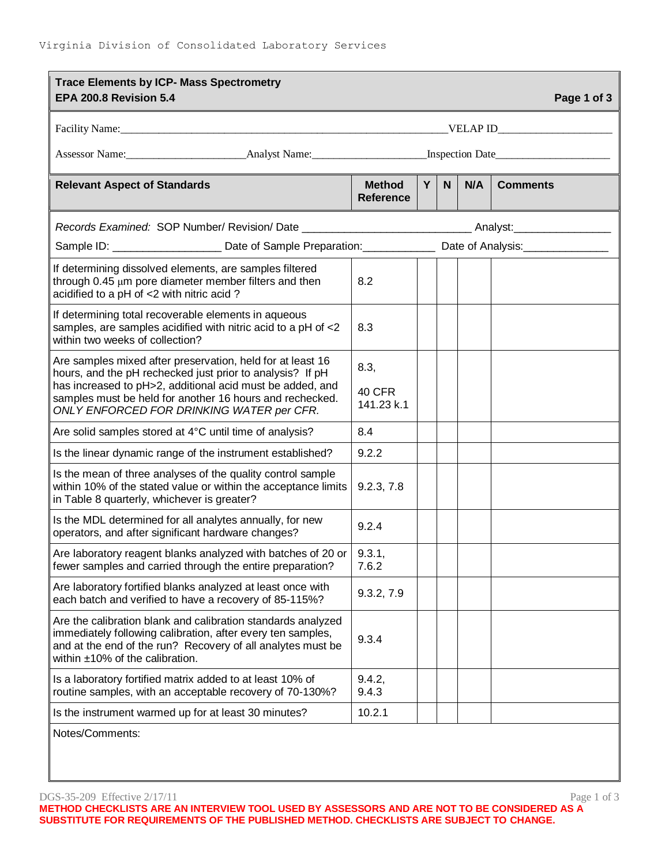| <b>Trace Elements by ICP- Mass Spectrometry</b><br>EPA 200.8 Revision 5.4                                                                                                                                                                                                                     |                                   |    |              |     | Page 1 of 3     |  |  |
|-----------------------------------------------------------------------------------------------------------------------------------------------------------------------------------------------------------------------------------------------------------------------------------------------|-----------------------------------|----|--------------|-----|-----------------|--|--|
|                                                                                                                                                                                                                                                                                               |                                   |    |              |     |                 |  |  |
|                                                                                                                                                                                                                                                                                               |                                   |    |              |     |                 |  |  |
| <b>Relevant Aspect of Standards</b>                                                                                                                                                                                                                                                           | <b>Method</b><br><b>Reference</b> | Y. | $\mathsf{N}$ | N/A | <b>Comments</b> |  |  |
| Records Examined: SOP Number/ Revision/ Date ___________________________________Analyst:_____________________                                                                                                                                                                                 |                                   |    |              |     |                 |  |  |
| Sample ID: ________________________Date of Sample Preparation:________________Date of Analysis:______________                                                                                                                                                                                 |                                   |    |              |     |                 |  |  |
| If determining dissolved elements, are samples filtered<br>through 0.45 µm pore diameter member filters and then<br>acidified to a pH of <2 with nitric acid?                                                                                                                                 | 8.2                               |    |              |     |                 |  |  |
| If determining total recoverable elements in aqueous<br>samples, are samples acidified with nitric acid to a pH of <2<br>within two weeks of collection?                                                                                                                                      | 8.3                               |    |              |     |                 |  |  |
| Are samples mixed after preservation, held for at least 16<br>hours, and the pH rechecked just prior to analysis? If pH<br>has increased to pH>2, additional acid must be added, and<br>samples must be held for another 16 hours and rechecked.<br>ONLY ENFORCED FOR DRINKING WATER per CFR. | 8.3,<br>40 CFR<br>141.23 k.1      |    |              |     |                 |  |  |
| Are solid samples stored at 4°C until time of analysis?                                                                                                                                                                                                                                       | 8.4                               |    |              |     |                 |  |  |
| Is the linear dynamic range of the instrument established?                                                                                                                                                                                                                                    | 9.2.2                             |    |              |     |                 |  |  |
| Is the mean of three analyses of the quality control sample<br>within 10% of the stated value or within the acceptance limits<br>in Table 8 quarterly, whichever is greater?                                                                                                                  | 9.2.3, 7.8                        |    |              |     |                 |  |  |
| Is the MDL determined for all analytes annually, for new<br>operators, and after significant hardware changes?                                                                                                                                                                                | 9.2.4                             |    |              |     |                 |  |  |
| Are laboratory reagent blanks analyzed with batches of 20 or<br>fewer samples and carried through the entire preparation?                                                                                                                                                                     | 9.3.1,<br>7.6.2                   |    |              |     |                 |  |  |
| Are laboratory fortified blanks analyzed at least once with<br>each batch and verified to have a recovery of 85-115%?                                                                                                                                                                         | 9.3.2, 7.9                        |    |              |     |                 |  |  |
| Are the calibration blank and calibration standards analyzed<br>immediately following calibration, after every ten samples,<br>and at the end of the run? Recovery of all analytes must be<br>within $±10\%$ of the calibration.                                                              | 9.3.4                             |    |              |     |                 |  |  |
| Is a laboratory fortified matrix added to at least 10% of<br>routine samples, with an acceptable recovery of 70-130%?                                                                                                                                                                         | 9.4.2,<br>9.4.3                   |    |              |     |                 |  |  |
| Is the instrument warmed up for at least 30 minutes?                                                                                                                                                                                                                                          | 10.2.1                            |    |              |     |                 |  |  |
| Notes/Comments:                                                                                                                                                                                                                                                                               |                                   |    |              |     |                 |  |  |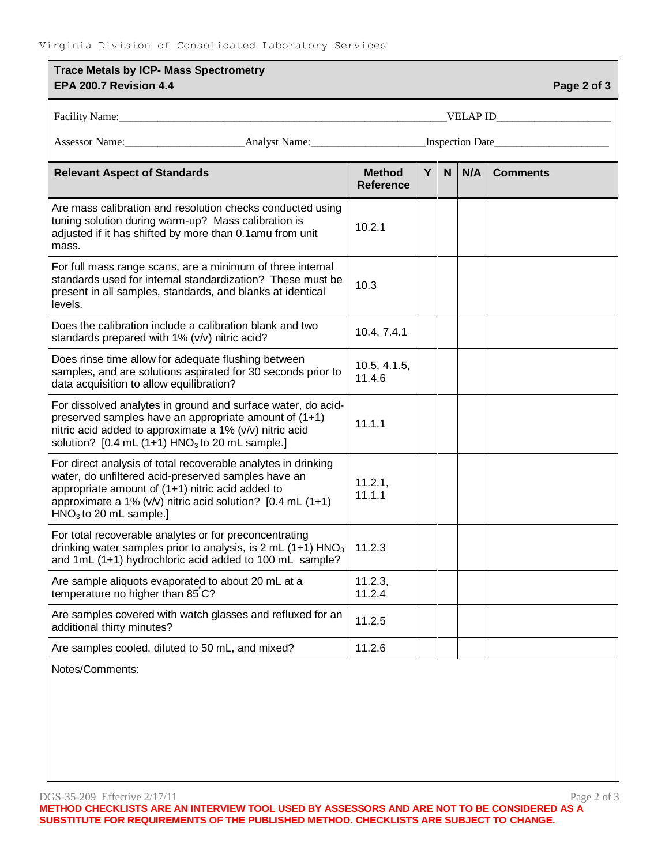| <b>Trace Metals by ICP- Mass Spectrometry</b><br>EPA 200.7 Revision 4.4<br>Page 2 of 3                                                                                                                                                                                 |                                   |   |             |     |                 |  |  |
|------------------------------------------------------------------------------------------------------------------------------------------------------------------------------------------------------------------------------------------------------------------------|-----------------------------------|---|-------------|-----|-----------------|--|--|
|                                                                                                                                                                                                                                                                        |                                   |   |             |     |                 |  |  |
|                                                                                                                                                                                                                                                                        |                                   |   |             |     |                 |  |  |
|                                                                                                                                                                                                                                                                        |                                   |   |             |     |                 |  |  |
| <b>Relevant Aspect of Standards</b>                                                                                                                                                                                                                                    | <b>Method</b><br><b>Reference</b> | Y | $\mathbf N$ | N/A | <b>Comments</b> |  |  |
| Are mass calibration and resolution checks conducted using<br>tuning solution during warm-up? Mass calibration is<br>adjusted if it has shifted by more than 0.1amu from unit<br>mass.                                                                                 | 10.2.1                            |   |             |     |                 |  |  |
| For full mass range scans, are a minimum of three internal<br>standards used for internal standardization? These must be<br>present in all samples, standards, and blanks at identical<br>levels.                                                                      | 10.3                              |   |             |     |                 |  |  |
| Does the calibration include a calibration blank and two<br>standards prepared with 1% (v/v) nitric acid?                                                                                                                                                              | 10.4, 7.4.1                       |   |             |     |                 |  |  |
| Does rinse time allow for adequate flushing between<br>samples, and are solutions aspirated for 30 seconds prior to<br>data acquisition to allow equilibration?                                                                                                        | 10.5, 4.1.5,<br>11.4.6            |   |             |     |                 |  |  |
| For dissolved analytes in ground and surface water, do acid-<br>preserved samples have an appropriate amount of (1+1)<br>nitric acid added to approximate a 1% (v/v) nitric acid<br>solution? $[0.4 \text{ mL } (1+1) \text{ HNO}_3$ to 20 mL sample.]                 | 11.1.1                            |   |             |     |                 |  |  |
| For direct analysis of total recoverable analytes in drinking<br>water, do unfiltered acid-preserved samples have an<br>appropriate amount of (1+1) nitric acid added to<br>approximate a 1% ( $v/v$ ) nitric acid solution? [0.4 mL (1+1)<br>$HNO3$ to 20 mL sample.] | 11.2.1,<br>11.1.1                 |   |             |     |                 |  |  |
| For total recoverable analytes or for preconcentrating<br>drinking water samples prior to analysis, is 2 mL (1+1) $HNO3$   11.2.3<br>and 1mL (1+1) hydrochloric acid added to 100 mL sample?                                                                           |                                   |   |             |     |                 |  |  |
| Are sample aliquots evaporated to about 20 mL at a<br>temperature no higher than 85°C?                                                                                                                                                                                 | 11.2.3,<br>11.2.4                 |   |             |     |                 |  |  |
| Are samples covered with watch glasses and refluxed for an<br>additional thirty minutes?                                                                                                                                                                               | 11.2.5                            |   |             |     |                 |  |  |
| Are samples cooled, diluted to 50 mL, and mixed?                                                                                                                                                                                                                       | 11.2.6                            |   |             |     |                 |  |  |
| $\lambda$ latas/ $\Omega$ amanaanta                                                                                                                                                                                                                                    |                                   |   |             |     |                 |  |  |

Notes/Comments:

DGS-35-209 Effective 2/17/11 Page 2 of 3 **METHOD CHECKLISTS ARE AN INTERVIEW TOOL USED BY ASSESSORS AND ARE NOT TO BE CONSIDERED AS A SUBSTITUTE FOR REQUIREMENTS OF THE PUBLISHED METHOD. CHECKLISTS ARE SUBJECT TO CHANGE.**